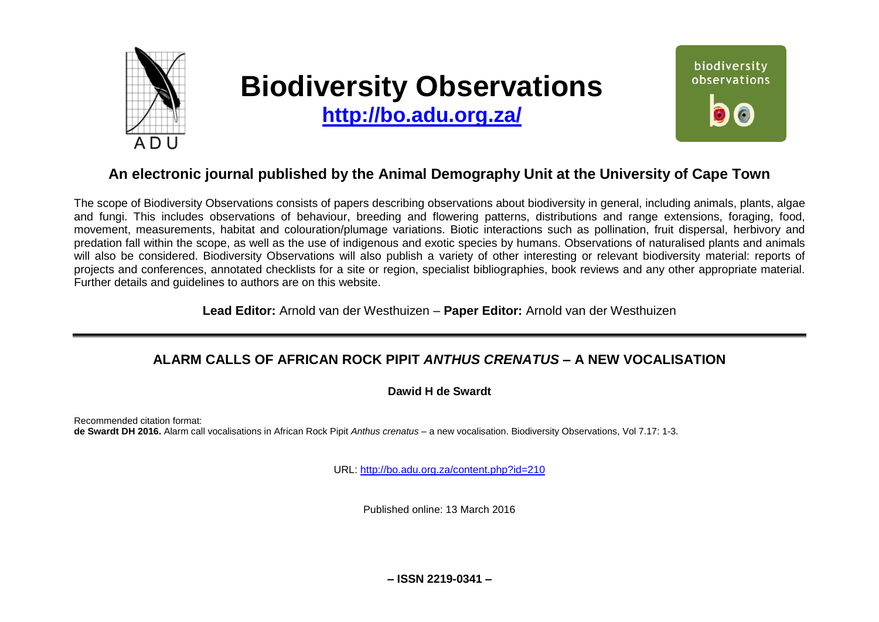

# **Biodiversity Observations**

**<http://bo.adu.org.za/>**



## **An electronic journal published by the Animal Demography Unit at the University of Cape Town**

The scope of Biodiversity Observations consists of papers describing observations about biodiversity in general, including animals, plants, algae and fungi. This includes observations of behaviour, breeding and flowering patterns, distributions and range extensions, foraging, food, movement, measurements, habitat and colouration/plumage variations. Biotic interactions such as pollination, fruit dispersal, herbivory and predation fall within the scope, as well as the use of indigenous and exotic species by humans. Observations of naturalised plants and animals will also be considered. Biodiversity Observations will also publish a variety of other interesting or relevant biodiversity material: reports of projects and conferences, annotated checklists for a site or region, specialist bibliographies, book reviews and any other appropriate material. Further details and guidelines to authors are on this website.

**Lead Editor:** Arnold van der Westhuizen – **Paper Editor:** Arnold van der Westhuizen

## **ALARM CALLS OF AFRICAN ROCK PIPIT** *ANTHUS CRENATUS* **– A NEW VOCALISATION**

### **Dawid H de Swardt**

Recommended citation format: **de Swardt DH 2016.** Alarm call vocalisations in African Rock Pipit *Anthus crenatus* – a new vocalisation. Biodiversity Observations, Vol 7.17: 1-3.

URL:<http://bo.adu.org.za/content.php?id=210>

Published online: 13 March 2016

**– ISSN 2219-0341 –**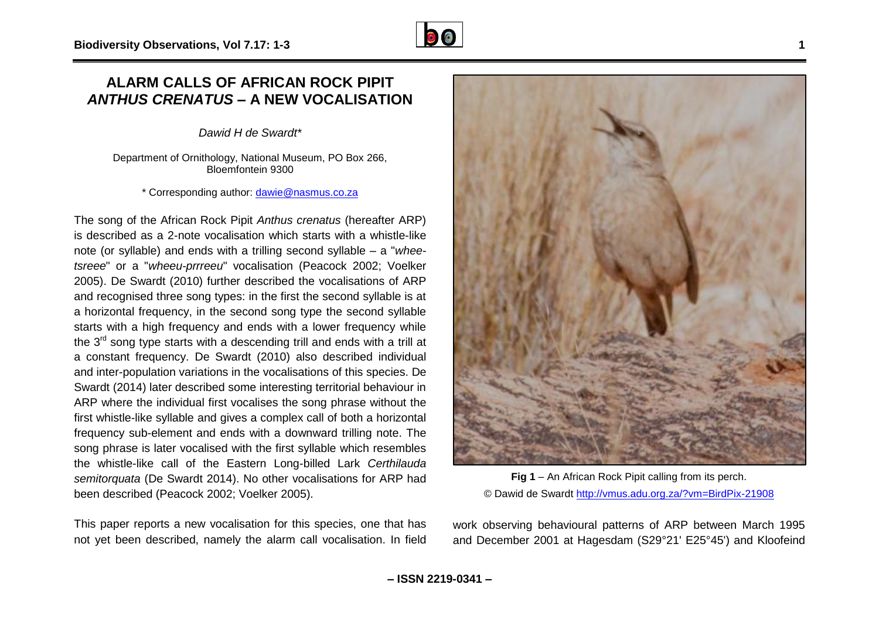## **ALARM CALLS OF AFRICAN ROCK PIPIT**  *ANTHUS CRENATUS* **– A NEW VOCALISATION**

*Dawid H de Swardt\**

Department of Ornithology, National Museum, PO Box 266, Bloemfontein 9300

\* Corresponding author: [dawie@nasmus.co.za](mailto:dawie@nasmus.co.za)

The song of the African Rock Pipit *Anthus crenatus* (hereafter ARP) is described as a 2-note vocalisation which starts with a whistle-like note (or syllable) and ends with a trilling second syllable – a "*wheetsreee*" or a "*wheeu-prrreeu*" vocalisation (Peacock 2002; Voelker 2005). De Swardt (2010) further described the vocalisations of ARP and recognised three song types: in the first the second syllable is at a horizontal frequency, in the second song type the second syllable starts with a high frequency and ends with a lower frequency while the  $3<sup>rd</sup>$  song type starts with a descending trill and ends with a trill at a constant frequency. De Swardt (2010) also described individual and inter-population variations in the vocalisations of this species. De Swardt (2014) later described some interesting territorial behaviour in ARP where the individual first vocalises the song phrase without the first whistle-like syllable and gives a complex call of both a horizontal frequency sub-element and ends with a downward trilling note. The song phrase is later vocalised with the first syllable which resembles the whistle-like call of the Eastern Long-billed Lark *Certhilauda semitorquata* (De Swardt 2014). No other vocalisations for ARP had been described (Peacock 2002; Voelker 2005).

This paper reports a new vocalisation for this species, one that has not yet been described, namely the alarm call vocalisation. In field



work observing behavioural patterns of ARP between March 1995 and December 2001 at Hagesdam (S29°21' E25°45') and Kloofeind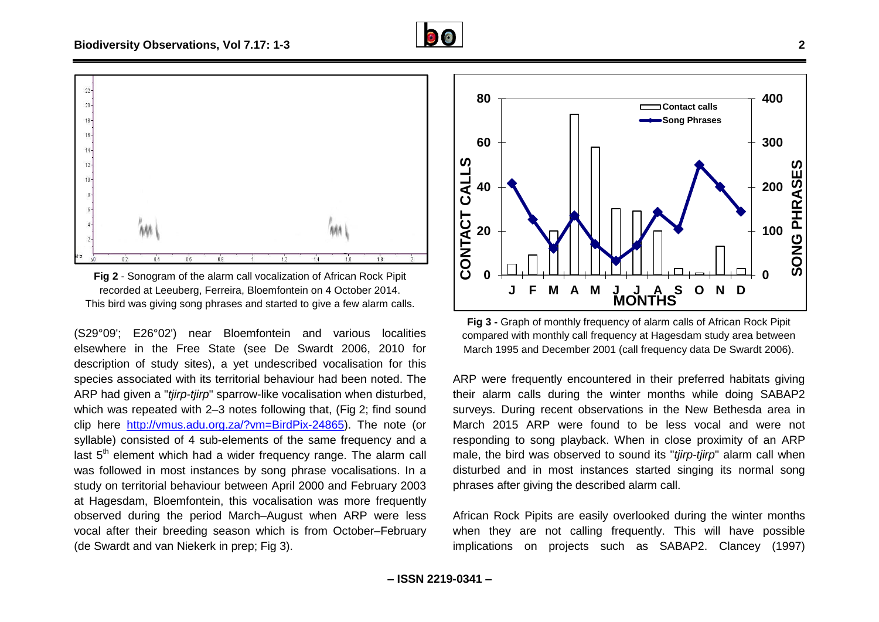



<span id="page-2-0"></span>**Fig 2** - Sonogram of the alarm call vocalization of African Rock Pipit recorded at Leeuberg, Ferreira, Bloemfontein on 4 October 2014. This bird was giving song phrases and started to give a few alarm calls.

(S29°09'; E26°02') near Bloemfontein and various localities elsewhere in the Free State (see De Swardt 2006, 2010 for description of study sites), a yet undescribed vocalisation for this species associated with its territorial behaviour had been noted. The ARP had given a "*tjirp-tjirp*" sparrow-like vocalisation when disturbed, which was repeated with 2–3 notes following that, [\(Fig](#page-2-0) 2; find sound clip here [http://vmus.adu.org.za/?vm=BirdPix-24865\)](http://vmus.adu.org.za/?vm=BirdPix-24865). The note (or syllable) consisted of 4 sub-elements of the same frequency and a last  $5<sup>th</sup>$  element which had a wider frequency range. The alarm call was followed in most instances by song phrase vocalisations. In a study on territorial behaviour between April 2000 and February 2003 at Hagesdam, Bloemfontein, this vocalisation was more frequently observed during the period March–August when ARP were less vocal after their breeding season which is from October–February (de Swardt and van Niekerk in prep; [Fig](#page-2-1) 3).



<span id="page-2-1"></span>**Fig 3 -** Graph of monthly frequency of alarm calls of African Rock Pipit compared with monthly call frequency at Hagesdam study area between March 1995 and December 2001 (call frequency data De Swardt 2006).

ARP were frequently encountered in their preferred habitats giving their alarm calls during the winter months while doing SABAP2 surveys. During recent observations in the New Bethesda area in March 2015 ARP were found to be less vocal and were not responding to song playback. When in close proximity of an ARP male, the bird was observed to sound its "*tjirp-tjirp*" alarm call when disturbed and in most instances started singing its normal song phrases after giving the described alarm call.

African Rock Pipits are easily overlooked during the winter months when they are not calling frequently. This will have possible implications on projects such as SABAP2. Clancey (1997)